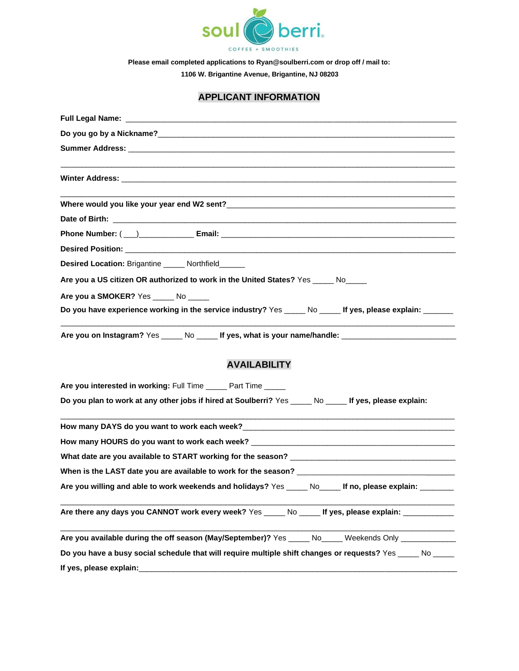

**Please email completed applications to Ryan@soulberri.com or drop off / mail to:** 

**1106 W. Brigantine Avenue, Brigantine, NJ 08203**

## **APPLICANT INFORMATION**

| Full Legal Name: And the state of the state of the state of the state of the state of the state of the state of the state of the state of the state of the state of the state of the state of the state of the state of the st |
|--------------------------------------------------------------------------------------------------------------------------------------------------------------------------------------------------------------------------------|
|                                                                                                                                                                                                                                |
|                                                                                                                                                                                                                                |
|                                                                                                                                                                                                                                |
|                                                                                                                                                                                                                                |
|                                                                                                                                                                                                                                |
|                                                                                                                                                                                                                                |
|                                                                                                                                                                                                                                |
|                                                                                                                                                                                                                                |
| Desired Location: Brigantine _____ Northfield______                                                                                                                                                                            |
| Are you a US citizen OR authorized to work in the United States? Yes _____ No____                                                                                                                                              |
| Are you a SMOKER? Yes _____ No _____                                                                                                                                                                                           |
| Do you have experience working in the service industry? Yes _____ No _____ If yes, please explain: ______                                                                                                                      |
| Are you on Instagram? Yes _____ No _____ If yes, what is your name/handle: ________________________                                                                                                                            |
| <b>AVAILABILITY</b>                                                                                                                                                                                                            |
| Are you interested in working: Full Time _____ Part Time _____                                                                                                                                                                 |
| Do you plan to work at any other jobs if hired at Soulberri? Yes _____ No _____ If yes, please explain:                                                                                                                        |
|                                                                                                                                                                                                                                |
| How many HOURS do you want to work each week? __________________________________                                                                                                                                               |
|                                                                                                                                                                                                                                |
|                                                                                                                                                                                                                                |
| Are you willing and able to work weekends and holidays? Yes _____ No_____ If no, please explain: _______                                                                                                                       |
| Are there any days you CANNOT work every week? Yes _____ No _____ If yes, please explain: __________                                                                                                                           |
| Are you available during the off season (May/September)? Yes _____ No_____ Weekends Only ___________                                                                                                                           |
| Do you have a busy social schedule that will require multiple shift changes or requests? Yes No                                                                                                                                |
|                                                                                                                                                                                                                                |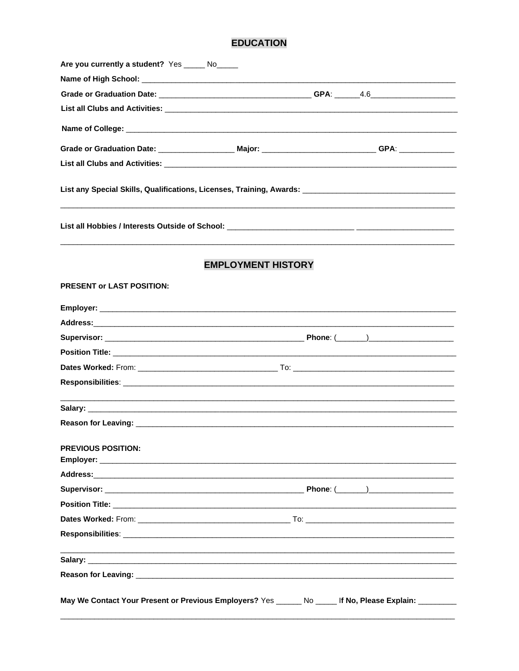## **EDUCATION**

| Are you currently a student? Yes _____ No_____                                                                                             |                                                             |  |  |  |
|--------------------------------------------------------------------------------------------------------------------------------------------|-------------------------------------------------------------|--|--|--|
|                                                                                                                                            |                                                             |  |  |  |
|                                                                                                                                            |                                                             |  |  |  |
| List all Clubs and Activities: <u>December 2008</u> Service and Service and Service and Service and Service and Service                    |                                                             |  |  |  |
|                                                                                                                                            |                                                             |  |  |  |
| Grade or Graduation Date: ____________________ Major: ___________________________GPA: _____________                                        |                                                             |  |  |  |
|                                                                                                                                            |                                                             |  |  |  |
|                                                                                                                                            |                                                             |  |  |  |
|                                                                                                                                            |                                                             |  |  |  |
| <b>PRESENT or LAST POSITION:</b>                                                                                                           |                                                             |  |  |  |
|                                                                                                                                            |                                                             |  |  |  |
|                                                                                                                                            |                                                             |  |  |  |
|                                                                                                                                            |                                                             |  |  |  |
|                                                                                                                                            |                                                             |  |  |  |
|                                                                                                                                            |                                                             |  |  |  |
|                                                                                                                                            |                                                             |  |  |  |
|                                                                                                                                            |                                                             |  |  |  |
|                                                                                                                                            |                                                             |  |  |  |
| PREVIOUS POSITION:                                                                                                                         |                                                             |  |  |  |
|                                                                                                                                            |                                                             |  |  |  |
|                                                                                                                                            |                                                             |  |  |  |
|                                                                                                                                            |                                                             |  |  |  |
|                                                                                                                                            |                                                             |  |  |  |
|                                                                                                                                            |                                                             |  |  |  |
|                                                                                                                                            | <u> 1989 - Johann Stoff, amerikansk politiker (d. 1989)</u> |  |  |  |
|                                                                                                                                            |                                                             |  |  |  |
| May We Contact Your Present or Previous Employers? $\text{Yes } \_\_\_\_\_\_\$ No $\_\_\_\_\$ If No, Please Explain: $\_\_\_\_\_\_\_\_\_\$ |                                                             |  |  |  |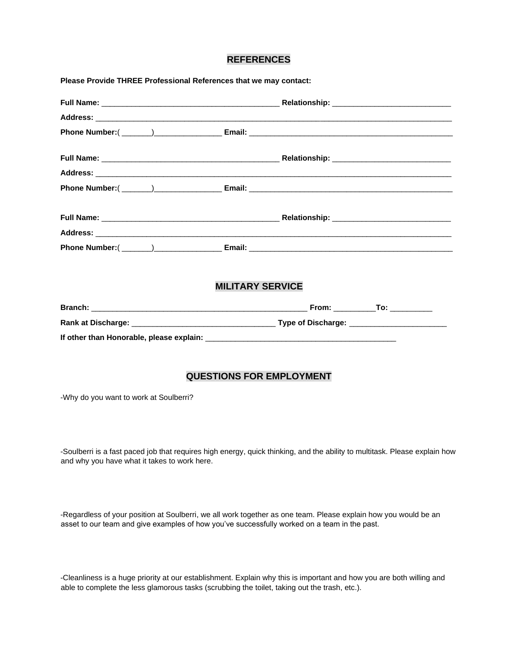## **REFERENCES**

| <b>MILITARY SERVICE</b> |  |
|-------------------------|--|
|                         |  |
|                         |  |
|                         |  |

-Why do you want to work at Soulberri?

-Soulberri is a fast paced job that requires high energy, quick thinking, and the ability to multitask. Please explain how and why you have what it takes to work here.

-Regardless of your position at Soulberri, we all work together as one team. Please explain how you would be an asset to our team and give examples of how you've successfully worked on a team in the past.

-Cleanliness is a huge priority at our establishment. Explain why this is important and how you are both willing and able to complete the less glamorous tasks (scrubbing the toilet, taking out the trash, etc.).